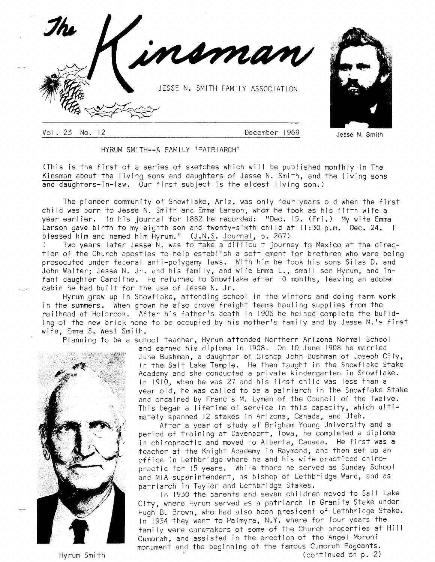

Vol 23 No. <sup>12</sup> December <sup>1969</sup>

Jesse N, Smith

HYRUM SMITH--A FAMILY 'PATRIARCH'

.<br>(This is the first of a series of sketches which will be published monthly in The Kinsman about the living sons and daughters of Jesse N. Smith, and the living sons<br>and daughters-in-law. Our first subject is the eldest living son.) and daughters-in-law. Our first subject is the eldest living son.)

The pioneer community of Snowflake, Ariz. was only four years old when the first chi ld was born to Jesse N. Smith and Emma Larson, whom he took as his fifth wife <sup>a</sup> year earlier. In his journal for lBB2 he recorded: "Dec. 15. (Fri.) My wife Emma Larson gave birth to my eighth son and twenty-sixth child at II:30 p.m. Dec. 24. I blessed him and named him Hyrum." (J.N.S. Journal, p. 267)

Two years later Jesse N. was to take a difficult journey to Mexico at the direction of the Church apostles to help establ ish a settlement for brethren who were being prosecuted under federal anti-polygamy laws. With him he took his sons Silas D. and John Walter; Jesse N. Jr. and his family, and wife Emma L., small son Hyrum, and infant daughter Caroline. He returned to Snowflake after l0 months, leaving an adobe cabin he had buitt for the use of Jesse N. Jr.

Hyrum grew up in Snowflake, attending school in the winters and doing farm work in the summers. When grown he also drove freight teams hauling supplies from the railhead at Holbrook. After his father's death in 1906 he helped complete the building of the new brick home to be occupied by his mother's family and by Jesse N.'s first wife, Emma S. West Smith.

Planning to be a school teacher, Hyrum attended Northern Arizona Normal School



Hyrum Smi th

and earned his diploma in 1908. On lO June l90B he married June Bushman, a daughter of Bishop John Bushman of Joseph City, in the Salt Lake Temple. He then taught in the Snowflake Stake Academy and she conducfed a private kindergarten in Snowflake. ln 1910, when he was 2J and his first chi ld was less than <sup>a</sup> year old, he was cal led to be a patriarch in the Snowflake Stake and ordained by Francis M. Lyman of the Council of the Twelve. This began a I ifetime of service in this capacity, which ultimatelv spanned l2 stakes in Arizona, Canada, and Utah.

After a year of study at Brigham Young University and <sup>a</sup> period of training at Davenport, lowa, he completed a diploma in chiropractic and moved to Alberta, Canada. He first was <sup>a</sup> teacher at the Knight Academy in Raymond, and then set up an office in Lethbridge where he and his wife practiced chiropractic for 15 years. While there he served as Sunday School and MIA superintendent, as bishop of Lethbridge Ward, and as patriarch in Taylor and Lethbridge Stakes.

In 1930 the parenfs and seven chi ldren moved to Salt Lake City, where Hyrum served as a patriarch in Granite Stake under Hugh B. Brown, who had also been president of Lethbridge Stake. In 1934 they went to Palmyra, N.Y. where for four years the family were caretakers of some of the Church properties at Hill Cumorah, and assisted in the erection of the Angel Moroni monument ani the beginning of the famous Cumorah Pageants. (continued on p. 2)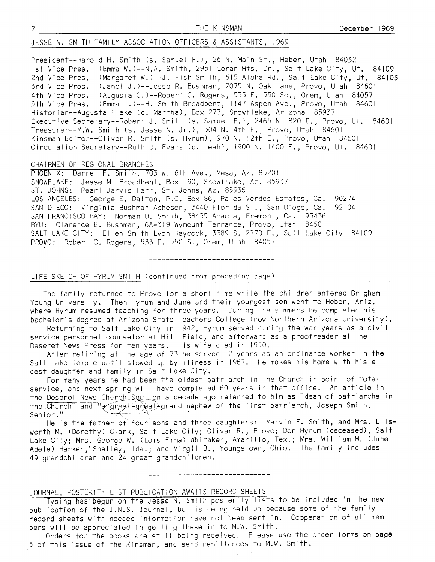# JESSE N. SMITH FAMILY ASSOCIATION OFFICERS & ASSISTANTS, 1969

President--Harold H. Smifh (s. Samuel F.),26 N. Main St., Heber, Utah <sup>84032</sup> Ist Vice Pres. (Emma W.)--N.A. Smith, 295! Loran Hts. Dr., Salt Lake City, Ut. 84!09 2nd Vice Pres. (Margaret W.)--J. Fish Smith, 615 Aloha Rd., Salt Lake City, Ut. 84103 3rd Vice Pres. (Janef J.)--Jesse R. Bushman, 2015 N. Oak Lane, Provo, Utah <sup>84601</sup> 4th Vice Pres. (Augusta 0.)--Robert C. Rogers, 533 E. 550 So., Orem, Utah 84057 5th Vice Pres. (Emma L.)--H. Smith Broadbent, 1147 Aspen Ave., Provo, Utah 84601 Historian--Augusta Flake (d. Martha), Box 277, Snowflake, Arizona 85937 Executive Secretary--Robert J. Smith (s. Samuel F.), 2465 N. 820 E., Provo, Ut. 84601 Treasurer--M.W. Smith (s. Jesse N. Jr.), 504 N. 4th E., Provo, Utah 84601 Kinsman Editor--Oliver R. Smith (s. Hyrum), 970 N. 12th E., Provo, Utah 84601 Circulation Secretary--Ruth U. Evans (d. Leah), 1900 N. 1400 E., Provo, Ut. <sup>84601</sup>

### CHA I RMEN OF REGIONAL BRANCHES

PHOENIX: Darrel F. Smith, 703 W. 6th Ave., Mesa, Az. 85201 SNOWFLAKE: Jesse M. Broadbent, Box 190, Snowflake, Az. 85931 ST. JOHNS: Pearl Jarvis Farr, St. Johns, Az. 85936 LOS ANGELES: George E. Dalton, P.O. Box 86, Palos Verdes Estates, Ca. <sup>90274</sup> SAN DIEGO: Virginia Bushman Acheson, 3440 Florida St., San Diego, Ca. 92104 SAN FRANCISCO BAY: Norman D. Smith, 38435 Acacia, Fremont, Ca. 95436 BYU: Clarence E. Bushman, 6A-319 Wymount Terrance, Provo, Utah 84601 SALT LAKE CITY: Ellen Smith Lyon Haycock, 3389 S. 2770 E., Salt Lake City 84109 PR0V0: Robert C. Rogers, 533 E. 550 S., Orem, Utah <sup>84051</sup>

### LIFE SKETCH 0F HYRUM SMiTH (continued from preceding page)

The family returned to Provo for a short time while the children entered Brigham Young University. Then Hyrum and June and their youngest son went to Heber, Ariz, where Hyrum resumed teaching for three years. During the summers he completed his bachelor's degree at Arizona State Teachers College (now Northern Arizona University).

Returning to Salt Lake City in 1942, Hyrum served during the war years as a civi <sup>I</sup> service personnel counselor at Hill Field, and afterward as a proofreader at the Deseref News Press for ten years. His wife died in 1950,

Affer retiring at the age of 13 he served 12 years as an ordinance worker in the Salt Lake Temple until slowed up by illness in 1967. He makes his home with his eldest daughter and family in Salt Lake City.

For many years he had been fhe oldest patriarch in fhe Church in point of total service, and next spring will have completed 60 years in that office. An article in the Deseret News Church Section a decade ago referred to him as "dean of patriarchs in the Church" and "a great-great) grand nephew of the first patriarch, Joseph Smith,

Senior."<br>He is the father of four sons and three daughters: Marvin E. Smith, and Mrs. Ellsworth M. (Dorothy) Clark, Salt Lake City; Oliver R., Provo; Don Hyrum (deceased), Salt Lake City; Mrs. George W. (Lois Emma) Whitaker, Amarillo, Tex.; Mrs. William M. (June Adele) Harker,'Shelley, Ida.; and Virgil B., Youngstown, Ohio. The family includes 49 grandchi ldren and 24 great grandchi ldren.

JOURNAL, POSTERITY LIST PUBLICATION AWAITS RECORD SHEETS -Ti s to be included in Tne new publ ication of the J.N.S. Journal, but is being held up because some of fhe fami ly publication of the stats: southur, but is being hord up booduse some of the running bers will be appreciated in getting these in to M.W. Smith.

Orders for the books are still being received. Please use the order forms on page 5 of this issue of the Kinsman, and send remittances to M.W. Smith.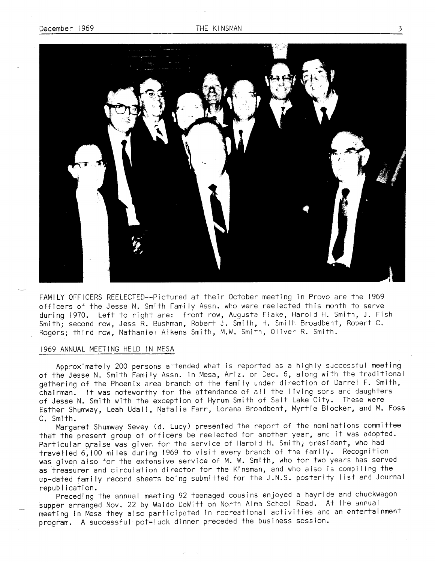

FAMILY OFFICERS REELECTED--Pictured af their October meeting in Provo are the <sup>1969</sup> officers of the Jesse N. Smith Fami ly Assn. who were reelected this month to serve during 1970. Left to right are: front row, Auqusta Flake, Harold H. Smith, J. Fish Smith; second row, Jess R- Bushman, Robert J. Smith, H. Smith Broadbent, Robert C. Rogers; third row, Nathaniel Aikens Smith, M.W. Smith,0liver R. Smith.

## I969 ANNUAL MEETING HELD IN MESA

Approximately 200 persons attended what is reported as a highly successful meeting of the Jesse N. Smith Family Assn. in Mesa, Ariz. on Dec. 6, along with the traditional gathering of the Phoenix area branch of the fami ly under direction of Darrel F. Smith, chairman. It was noteworthy for the attendance of all the living sons and daughters of Jesse N. Smith with the exception of Hyrum Smith of Salt Lake City. These were Esther Shumway, Leah Udall, Natalia Farr, Lorana Broadbent, Myrtle Blocker, and M. Foss C. Smith.

Margaret Shumway Sevey (d. Lucy) presented the report of the nominations committee that the present group of officers be reelected for another year, and it was adopted. Particular p,raise was given for the service of Harold H. Smith; president, who had travelled 6,100 miles during 1969 to visit every branch of the family. Recognition was given aiso for the extensive service of M. W. Smith, who for two years has served as treasurer and circulation director for the Kinsman, and who also is compiling the up-dated family record sheets being submitted for the J.N.S. posterity list and Journal republ ication.

preceding the annual meeting 92 teenaged cousins enjoyed a hayride and chuckwagon supper arranged Nov. 22 by Waldo DeWitt on North Alma School Road. At the annual meeting in N46sa they also participated in recreational activities and an entertainment program. A successful pot-luck dinner preceded the business session.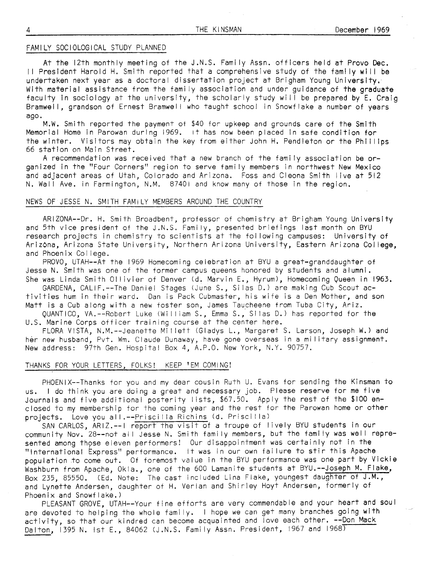# FAMILY SOCIOLOGICAL STUDY PLANNED

At the 12th monthly meeting of the J.N.S. Family Assn. officers held at Provo Dec. II President Harold H. Smith reported that a comprehensive study of the family will be undertaken next year as a doctoral dissertation project at Brigham Young Universify. With material assistance from the family association and under guidance of the graduate faculty in sociology at the universify, the scholarly study will be prepared by E. Craig Bramwell, grandson of Ernest Bramwell who taught school in Snowflake a number of years ago.

M.W. Smith reported the payment of \$40 for upkeep and grounds care of the Smith Memorial Home in Parowan during 1969. tt has now been placed in safe condition for the winter. Visitors may obtain the key from either John H. Pendleton or the Phillips 66 station on Main Street.

A recommendation was received that a new branch of the family association be organized in the "Four Corners" region to serve fami ly members in northwest New Mexico and adjacent areas of Utah, Colorado and Arizona. Foss and Cleona Smith live at <sup>512</sup> N. Wall Ave. in Farmington, N.M. 87401 and know many of those in the region.

# NEWS OF JESSE N. SMITH FAMILY MEMBERS AROUND THE COUNTRY

ARIZONA--Dr. H. Smifh Broadbent, professor of chemistry at Brigham Young University and 5th vice president of the J.N.S. Family, presented briefings last month on BYU research projects in chemistry to scientists at the following campuses: University of Arizona, Arizona State University, Northern Arizona University, Eastern Arizona College, and Phoenix Col lege.

PR0V0, UTAH--At the 1969 Homecoming celebration at BYU a great-granddaughter of Jesse N. Smith was one of the former campus queens honored by students and alumni. She was Linda Smith Ollivier of Denver (d. Marvin E., Hyrum), Homecoming Queen in 1963.

GARDENA, CALiF.--The Daniel Stages (June S., Si las D.) are making Cub Scout activities hum in their ward. Dan is Pack Cubmaster, his wife is a Den Mother, and son Matt is a Cub along with a new foster son, James Taucheene from Tuba City, Ariz,

QUANTICO, VA.--Robert Luke (William S., Emma S., Silas D.) has reported for the U.S. Marine Corps officer training course at the center here.

FLORA VISTA, N.M.--Jeanette Millett (Gladys L., Margaret S. Larson, Joseph W.) and her new husband, Pvt. Wm. Claude Dunaway, have gone overseas in a mi litary assignment. New address: 97th Gen. Hospital Box 4, A.P.O. New York, N.Y. 90757.

### THANKS FOR YOUR LETTERS, FOLKS! KEEP 'EM COMING!

PHOENIX--Thanks for you and my dear cousin Ruth U. Evans for sending the Kinsman to us. I do think you are doing a great and necessary job. Please reserve for me five Journals and five additional posterity lists, \$67.50. Apply the rest of the \$100 enclosed to my membership for the coming year and the rest for the Parowan home or other projects. Love you all.--Priscilla Richins (d. Priscilla)

SAN CARLOS, ARIZ.--I report the visit of a troupe of lively BYU students in our community Nov. 28--not all Jesse N. Smith family members, but the family was well represented among thgse eleven performers! Our disappointment was certainly not in the "International Express" performance. It was in our own failure to stir this Apache population to come out. Of foremost value in the BYU performance was one part by Vickie Washburn from Apache, Okla., one of the 600 Lamanite students at BYU.--Joseph M. Flake, Box 235,85550. (Ed. Note: The cast included Lina Flake, youngest daughter of J.M., and Lynette Andersen, daughter of H. Verlan and Shirley Hoyt Andersen, formerly of Phoen  $i \times i$  and Snowflake.)

PLEASANT GROVE, UTAH--Your fine efforfs are very commendable and your heart and soul are devoted to helping the whole family. I hope we can get many branches going with activity, so that our kindred can become acquainted and love each other. --Don Mack Dalton, 1395 N. Ist E., 84062 (J.N.S. Family Assn. President, 1967 and 1968)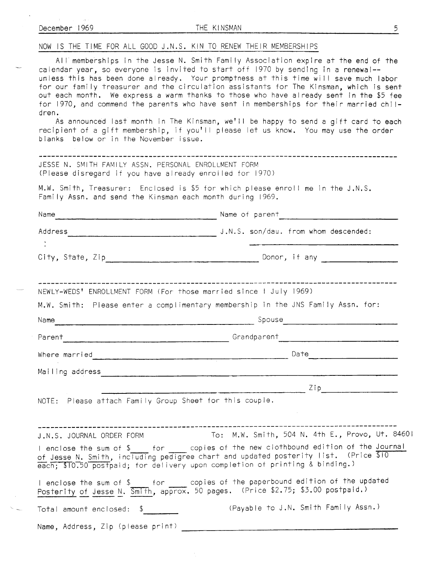| December 1969                                                                                                                     | THE KINSMAN<br>5                                                                                                                                                                                                                                                                                                                                                                                                                                                                                                                                                                                                                                                                                                          |
|-----------------------------------------------------------------------------------------------------------------------------------|---------------------------------------------------------------------------------------------------------------------------------------------------------------------------------------------------------------------------------------------------------------------------------------------------------------------------------------------------------------------------------------------------------------------------------------------------------------------------------------------------------------------------------------------------------------------------------------------------------------------------------------------------------------------------------------------------------------------------|
| NOW IS THE TIME FOR ALL GOOD J.N.S. KIN TO RENEW THEIR MEMBERSHIPS                                                                |                                                                                                                                                                                                                                                                                                                                                                                                                                                                                                                                                                                                                                                                                                                           |
| dren.<br>blanks below or in the November issue.                                                                                   | All memberships in the Jesse N. Smith Family Association expire at the end of the<br>calendar year, so everyone is invited to start off 1970 by sending in a renewal--<br>unless this has been done already. Your promptness at this time will save much labor<br>for our family treasurer and the circulation assistants for The Kinsman, which is sent<br>out each month. We express a warm thanks to those who have already sent in the \$5 fee<br>for 1970, and commend the parents who have sent in memberships for their married chil-<br>As announced last month in The Kinsman, we'll be happy to send a gift card to each<br>recipient of a gift membership, if you'll please let us know. You may use the order |
| JESSE N. SMITH FAMILY ASSN. PERSONAL ENROLLMENT FORM<br>(Please disregard if you have already enroiled for 1970)                  |                                                                                                                                                                                                                                                                                                                                                                                                                                                                                                                                                                                                                                                                                                                           |
| Family Assn. and send the Kinsman each month during 1969.                                                                         | M.W. Smith, Treasurer: Enclosed is \$5 for which please enroll me in the J.N.S.                                                                                                                                                                                                                                                                                                                                                                                                                                                                                                                                                                                                                                           |
| Name                                                                                                                              |                                                                                                                                                                                                                                                                                                                                                                                                                                                                                                                                                                                                                                                                                                                           |
|                                                                                                                                   | Address J.N.S. son/dau. from whom descended:                                                                                                                                                                                                                                                                                                                                                                                                                                                                                                                                                                                                                                                                              |
|                                                                                                                                   | Donor, if any the control of the control of the control of the control of the control of the control of the co                                                                                                                                                                                                                                                                                                                                                                                                                                                                                                                                                                                                            |
| NEWLY-WEDS' ENROLLMENT FORM (For those married since I July 1969)<br>Name<br><u> 1980 - Jan Barnett, fransk politik (d. 1980)</u> | M.W. Smith: Please enter a complimentary membership in the JNS Family Assn. for:<br>Spouse                                                                                                                                                                                                                                                                                                                                                                                                                                                                                                                                                                                                                                |
| Parent                                                                                                                            | Grandparent                                                                                                                                                                                                                                                                                                                                                                                                                                                                                                                                                                                                                                                                                                               |
|                                                                                                                                   | Where married Date Date Date Date Date                                                                                                                                                                                                                                                                                                                                                                                                                                                                                                                                                                                                                                                                                    |
|                                                                                                                                   | Mailing address and the communication of the communication of the communication of the communication of the communication of the communication of the communication of the communication of the communication of the communica                                                                                                                                                                                                                                                                                                                                                                                                                                                                                            |
|                                                                                                                                   | $\frac{1}{2}$ ip                                                                                                                                                                                                                                                                                                                                                                                                                                                                                                                                                                                                                                                                                                          |
| NOTE: Please attach Family Group Sheet for this couple.                                                                           |                                                                                                                                                                                                                                                                                                                                                                                                                                                                                                                                                                                                                                                                                                                           |
|                                                                                                                                   | J.N.S. JOURNAL ORDER FORM To: M.W. Smith, 504 N. 4th E., Provo, Ut. 8460<br>I enclose the sum of \$_____ for _____ copies of the new clothbound edition of the <u>Journal</u><br>of Jesse N. Smith, including pedigree chart and updated posterity list. (Price \$10<br>each; \$10.50 postpaid; for delivery upon completion of printing & binding.)                                                                                                                                                                                                                                                                                                                                                                      |
|                                                                                                                                   | I enclose the sum of \$_____ for _____ copies of the paperbound edition of the updated<br>Posterity of Jesse N. Smith, approx. 50 pages. (Price \$2.75; \$3.00 postpaid.)                                                                                                                                                                                                                                                                                                                                                                                                                                                                                                                                                 |
| Total amount enclosed: \$                                                                                                         | (Payable to J.N. Smith Family Assn.)                                                                                                                                                                                                                                                                                                                                                                                                                                                                                                                                                                                                                                                                                      |
| Name, Address, Zip (please print)                                                                                                 |                                                                                                                                                                                                                                                                                                                                                                                                                                                                                                                                                                                                                                                                                                                           |

 $\overline{\phantom{0}}$ 

 $\overline{\phantom{a}}$ 

 $\sim 10^{-1}$  $\sim$   $\sim$